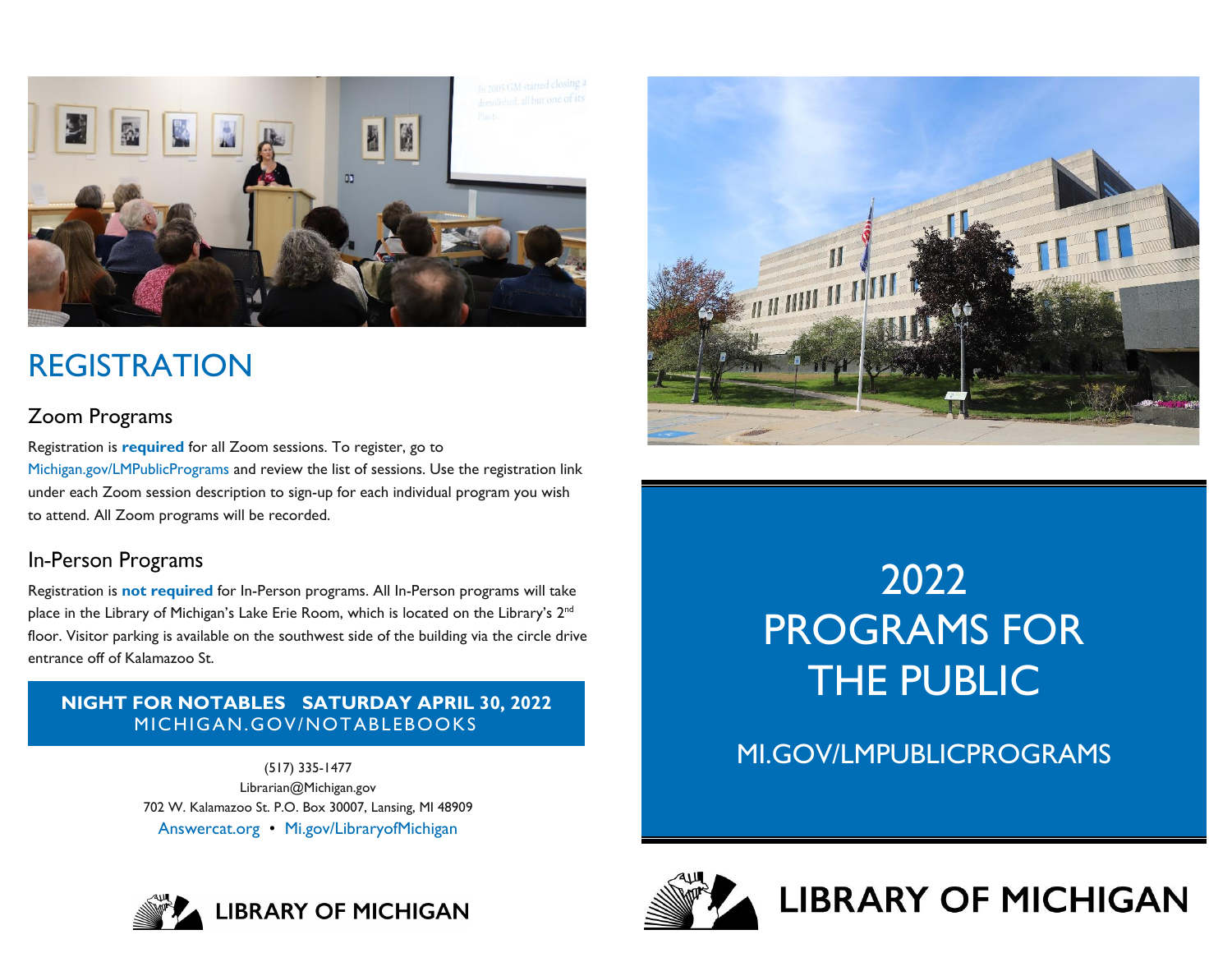

## REGISTRATION

## Zoom Programs

 [Michigan.gov/LMPublicPrograms](https://Michigan.gov/LMPublicPrograms) and review the list of sessions. Use the registration link Registration is **required** for all Zoom sessions. To register, go to under each Zoom session description to sign-up for each individual program you wish to attend. All Zoom programs will be recorded.

## In-Person Programs

Registration is **not required** for In-Person programs. All In-Person programs will take place in the Library of Michigan's Lake Erie Room, which is located on the Library's 2<sup>nd</sup> floor. Visitor parking is available on the southwest side of the building via the circle drive entrance off of Kalamazoo St.

### **- NIGHT FOR NOTABLES SATURDAY APRIL 30, 2022**  MICHIGAN.GOV/NOTABLEBOOKS

 [Answercat.org](https://Answercat.org) • [Mi.gov/LibraryofMichigan](https://Mi.gov/LibraryofMichigan) (517) 335-1477 [Librarian@Michigan.gov](mailto:Librarian@Michigan.gov)  702 W. Kalamazoo St. P.O. Box 30007, Lansing, MI 48909





# 2022 PROGRAMS FOR THE PUBLIC

MI.GOV/LMPUBLICPROGRAMS



**LIBRARY OF MICHIGAN**